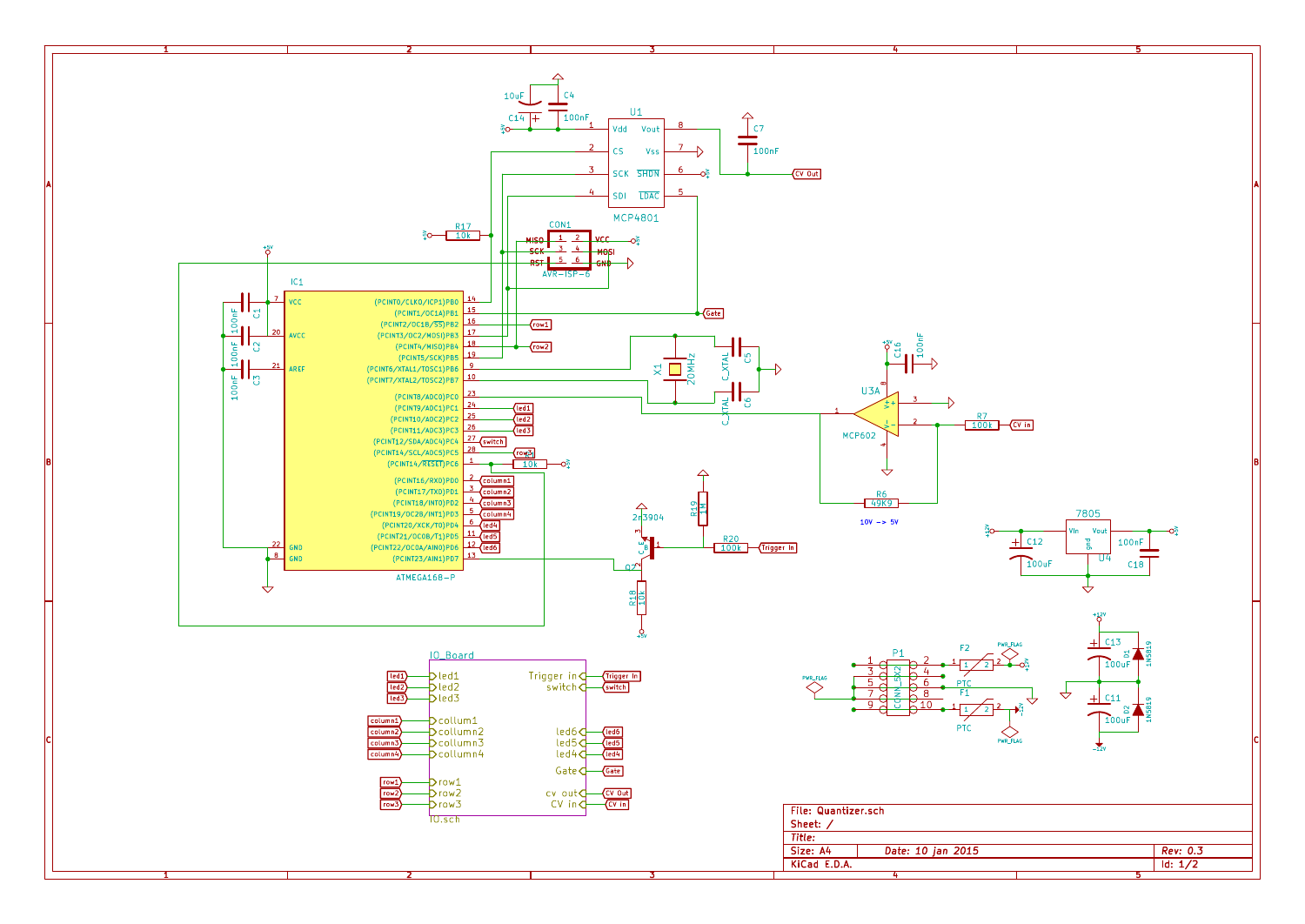